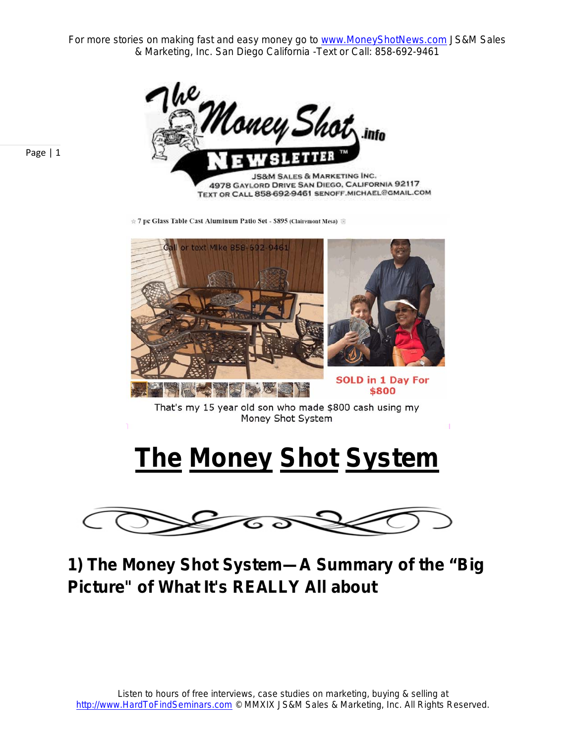For more stories on making fast and easy money go to www.MoneyShotNews.com JS&M Sales & Marketing, Inc. San Diego California -Text or Call: 858-692-9461



☆ 7 pc Glass Table Cast Aluminum Patio Set - \$895 (Clairemont Mesa) 图



That's my 15 year old son who made \$800 cash using my Money Shot System

## **The Money Shot System**



**1) The Money Shot System—A Summary of the "Big Picture" of What It's REALLY All about**

Page | 1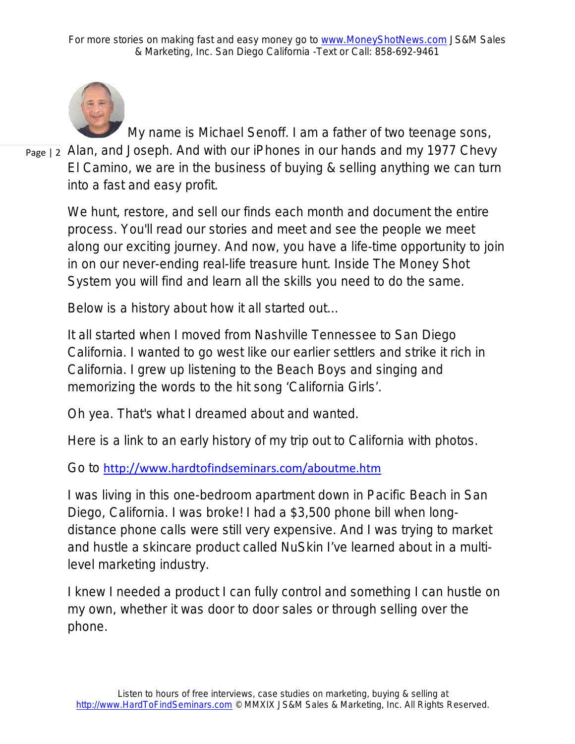

My name is Michael Senoff. I am a father of two teenage sons,

Page | 2 Alan, and Joseph. And with our iPhones in our hands and my 1977 Chevy El Camino, we are in the business of buying & selling anything we can turn into a fast and easy profit.

> We hunt, restore, and sell our finds each month and document the entire process. You'll read our stories and meet and see the people we meet along our exciting journey. And now, you have a life-time opportunity to join in on our never-ending real-life treasure hunt. Inside The Money Shot System you will find and learn all the skills you need to do the same.

Below is a history about how it all started out…

It all started when I moved from Nashville Tennessee to San Diego California. I wanted to go west like our earlier settlers and strike it rich in California. I grew up listening to the Beach Boys and singing and memorizing the words to the hit song 'California Girls'.

Oh yea. That's what I dreamed about and wanted.

Here is a link to an early history of my trip out to California with photos.

Go to <http://www.hardtofindseminars.com/aboutme.htm>

I was living in this one-bedroom apartment down in Pacific Beach in San Diego, California. I was broke! I had a \$3,500 phone bill when longdistance phone calls were still very expensive. And I was trying to market and hustle a skincare product called NuSkin I've learned about in a multilevel marketing industry.

I knew I needed a product I can fully control and something I can hustle on my own, whether it was door to door sales or through selling over the phone.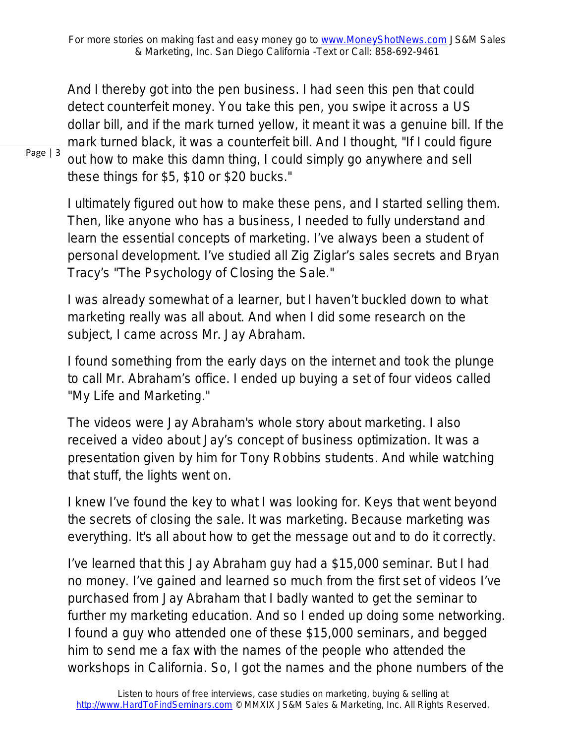And I thereby got into the pen business. I had seen this pen that could detect counterfeit money. You take this pen, you swipe it across a US dollar bill, and if the mark turned yellow, it meant it was a genuine bill. If the mark turned black, it was a counterfeit bill. And I thought, "If I could figure out how to make this damn thing, I could simply go anywhere and sell these things for \$5, \$10 or \$20 bucks."

I ultimately figured out how to make these pens, and I started selling them. Then, like anyone who has a business, I needed to fully understand and learn the essential concepts of marketing. I've always been a student of personal development. I've studied all Zig Ziglar's sales secrets and Bryan Tracy's "The Psychology of Closing the Sale."

I was already somewhat of a learner, but I haven't buckled down to what marketing really was all about. And when I did some research on the subject, I came across Mr. Jay Abraham.

I found something from the early days on the internet and took the plunge to call Mr. Abraham's office. I ended up buying a set of four videos called "My Life and Marketing."

The videos were Jay Abraham's whole story about marketing. I also received a video about Jay's concept of business optimization. It was a presentation given by him for Tony Robbins students. And while watching that stuff, *the lights went on*.

I knew I've found the key to what I was looking for. Keys that went beyond the secrets of closing the sale. It was marketing. Because marketing was everything. It's all about how to get the message out and to do it correctly.

I've learned that this Jay Abraham guy had a \$15,000 seminar. But I had no money. I've gained and learned so much from the first set of videos I've purchased from Jay Abraham that I badly wanted to get the seminar to further my marketing education. And so I ended up doing some networking. I found a guy who attended one of these \$15,000 seminars, and begged him to send me a fax with the names of the people who attended the workshops in California. So, I got the names and the phone numbers of the

Page | 3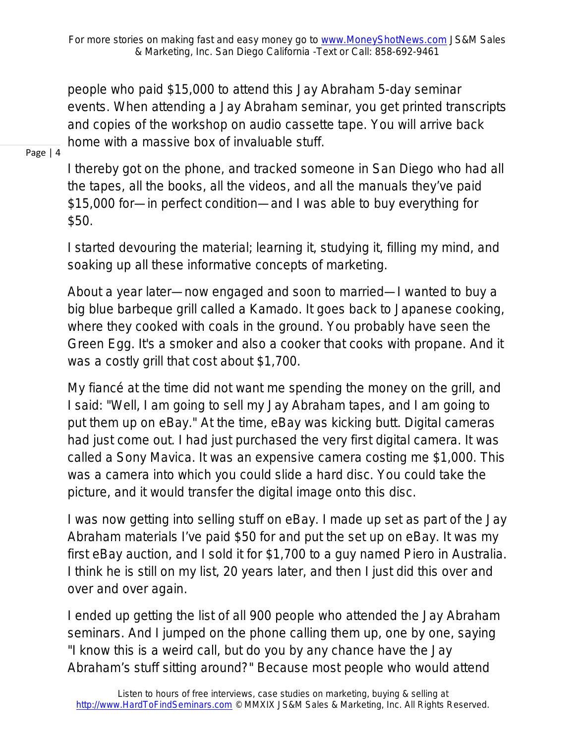people who paid \$15,000 to attend this Jay Abraham 5-day seminar events. When attending a Jay Abraham seminar, you get printed transcripts and copies of the workshop on audio cassette tape. You will arrive back home with a massive box of invaluable stuff.

## Page | 4

I thereby got on the phone, and tracked someone in San Diego who had all the tapes, all the books, all the videos, and all the manuals they've paid \$15,000 for—in perfect condition—and I was able to buy everything for \$50.

I started devouring the material; learning it, studying it, filling my mind, and soaking up all these informative concepts of marketing.

About a year later—now engaged and soon to married—I wanted to buy a big blue barbeque grill called a Kamado. It goes back to Japanese cooking, where they cooked with coals in the ground. You probably have seen the Green Egg. It's a smoker and also a cooker that cooks with propane. And it was a costly grill that cost about \$1,700.

My fiancé at the time did not want me spending the money on the grill, and I said: "Well, I am going to sell my Jay Abraham tapes, and I am going to put them up on eBay." At the time, eBay was kicking butt. Digital cameras had just come out. I had just purchased the very first digital camera. It was called a Sony Mavica. It was an expensive camera costing me \$1,000. This was a camera into which you could slide a hard disc. You could take the picture, and it would transfer the digital image onto this disc.

I was now getting into selling stuff on eBay. I made up set as part of the Jay Abraham materials I've paid \$50 for and put the set up on eBay. It was my first eBay auction, and I sold it for \$1,700 to a guy named Piero in Australia. I think he is still on my list, 20 years later, and then I just did this over and over and over again.

I ended up getting the list of all 900 people who attended the Jay Abraham seminars. And I jumped on the phone calling them up, one by one, saying "I know this is a weird call, but do you by any chance have the Jay Abraham's stuff sitting around?" Because most people who would attend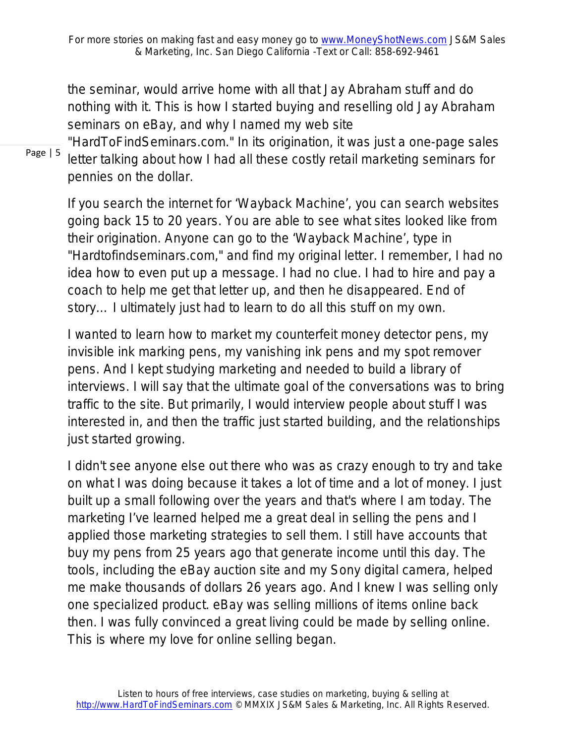the seminar, would arrive home with all that Jay Abraham stuff and do nothing with it. This is how I started buying and reselling old Jay Abraham seminars on eBay, and why I named my web site

Page | 5

"HardToFindSeminars.com." In its origination, it was just a one-page sales letter talking about how I had all these costly retail marketing seminars for pennies on the dollar.

If you search the internet for 'Wayback Machine', you can search websites going back 15 to 20 years. You are able to see what sites looked like from their origination. Anyone can go to the 'Wayback Machine', type in "Hardtofindseminars.com," and find my original letter. I remember, I had no idea how to even put up a message. I had no clue. I had to hire and pay a coach to help me get that letter up, and then he disappeared. End of story… I ultimately just had to learn to do all this stuff on my own.

I wanted to learn how to market my counterfeit money detector pens, my invisible ink marking pens, my vanishing ink pens and my spot remover pens. And I kept studying marketing and needed to build a library of interviews. I will say that the ultimate goal of the conversations was to bring traffic to the site. But primarily, I would interview people about stuff I was interested in, and then the traffic just started building, and the relationships just started growing.

I didn't see anyone else out there who was as crazy enough to try and take on what I was doing because it takes a lot of time and a lot of money. I just built up a small following over the years and that's where I am today. The marketing I've learned helped me a great deal in selling the pens and I applied those marketing strategies to sell them. I still have accounts that buy my pens from 25 years ago that generate income until this day. The tools, including the eBay auction site and my Sony digital camera, helped me make thousands of dollars 26 years ago. And I knew I was selling only one specialized product. eBay was selling millions of items online back then. I was fully convinced a great living could be made by selling online. This is where my love for online selling began.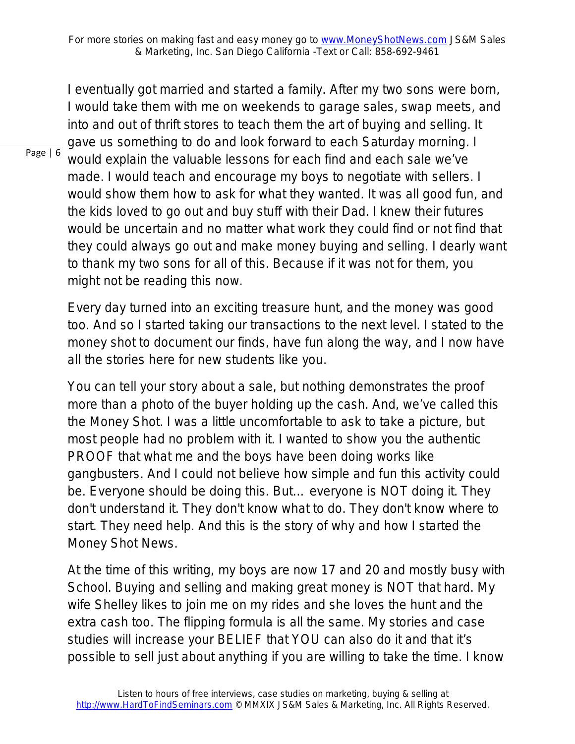I eventually got married and started a family. After my two sons were born, I would take them with me on weekends to garage sales, swap meets, and into and out of thrift stores to teach them the art of buying and selling. It gave us something to do and look forward to each Saturday morning. I would explain the valuable lessons for each find and each sale we've made. I would teach and encourage my boys to negotiate with sellers. I would show them how to ask for what they wanted. It was all good fun, and the kids loved to go out and buy stuff with their Dad. I knew their futures would be uncertain and no matter what work they could find or not find that they could always go out and make money buying and selling. I dearly want to thank my two sons for all of this. Because if it was not for them, you might not be reading this now.

Every day turned into an exciting treasure hunt, and the money was good too. And so I started taking our transactions to the next level. I stated to the money shot to document our finds, have fun along the way, and I now have all the stories here for new students like you.

You can tell your story about a sale, but nothing demonstrates the proof more than a photo of the buyer holding up the cash. And, we've called this the Money Shot. I was a little uncomfortable to ask to take a picture, but most people had no problem with it. I wanted to show you the authentic PROOF that what me and the boys have been doing works like gangbusters. And I could not believe how simple and fun this activity could be. Everyone should be doing this. But… everyone is NOT doing it. They don't understand it. They don't know what to do. They don't know where to start. They need help. And this is the story of why and how I started the Money Shot News.

At the time of this writing, my boys are now 17 and 20 and mostly busy with School. Buying and selling and making great money is NOT that hard. My wife Shelley likes to join me on my rides and she loves the hunt and the extra cash too. The flipping formula is all the same. My stories and case studies will increase your BELIEF that YOU can also do it and that it's possible to sell just about anything if you are willing to take the time. I know

Page | 6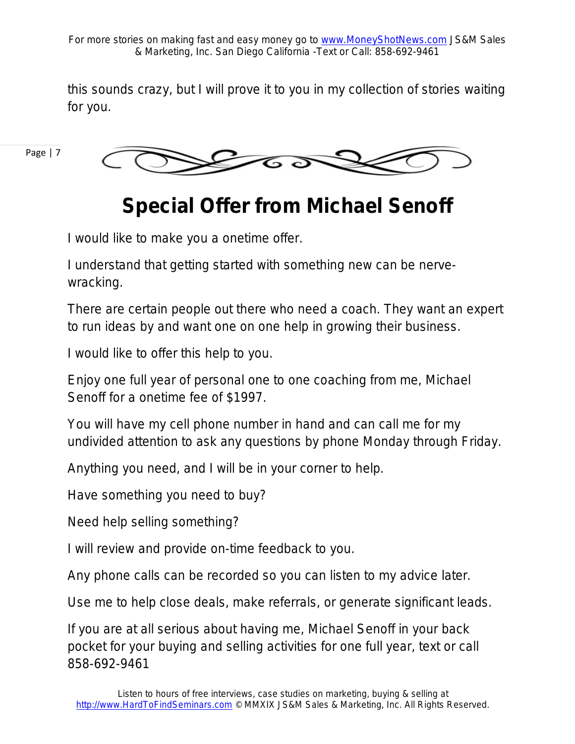this sounds crazy, but I will prove it to you in my collection of stories waiting for you.

Page | 7



## **Special Offer from Michael Senoff**

I would like to make you a onetime offer.

I understand that getting started with something new can be nervewracking.

There are certain people out there who need a coach. They want an expert to run ideas by and want one on one help in growing their business.

I would like to offer this help to you.

Enjoy one full year of personal one to one coaching from me, Michael Senoff for a onetime fee of \$1997.

You will have my cell phone number in hand and can call me for my undivided attention to ask any questions by phone Monday through Friday.

Anything you need, and I will be in your corner to help.

Have something you need to buy?

Need help selling something?

I will review and provide on-time feedback to you.

Any phone calls can be recorded so you can listen to my advice later.

Use me to help close deals, make referrals, or generate significant leads.

If you are at all serious about having me, Michael Senoff in your back pocket for your buying and selling activities for one full year, text or call 858-692-9461